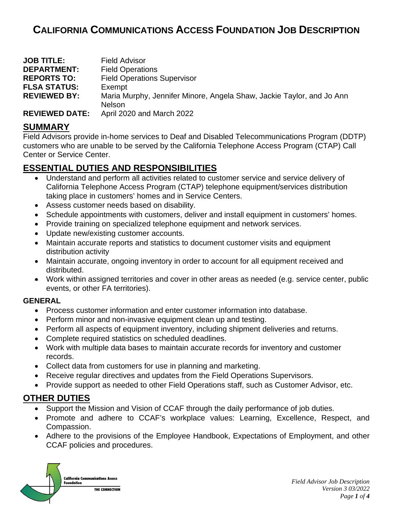# **CALIFORNIA COMMUNICATIONS ACCESS FOUNDATION JOB DESCRIPTION**

| <b>JOB TITLE:</b>     | <b>Field Advisor</b>                                                  |
|-----------------------|-----------------------------------------------------------------------|
| <b>DEPARTMENT:</b>    | <b>Field Operations</b>                                               |
| <b>REPORTS TO:</b>    | <b>Field Operations Supervisor</b>                                    |
| <b>FLSA STATUS:</b>   | Exempt                                                                |
| <b>REVIEWED BY:</b>   | Maria Murphy, Jennifer Minore, Angela Shaw, Jackie Taylor, and Jo Ann |
|                       | <b>Nelson</b>                                                         |
| <b>REVIEWED DATE:</b> | April 2020 and March 2022                                             |

### **SUMMARY**

Field Advisors provide in-home services to Deaf and Disabled Telecommunications Program (DDTP) customers who are unable to be served by the California Telephone Access Program (CTAP) Call Center or Service Center.

## **ESSENTIAL DUTIES AND RESPONSIBILITIES**

- Understand and perform all activities related to customer service and service delivery of California Telephone Access Program (CTAP) telephone equipment/services distribution taking place in customers' homes and in Service Centers.
- Assess customer needs based on disability.
- Schedule appointments with customers, deliver and install equipment in customers' homes.
- Provide training on specialized telephone equipment and network services.
- Update new/existing customer accounts.
- Maintain accurate reports and statistics to document customer visits and equipment distribution activity
- Maintain accurate, ongoing inventory in order to account for all equipment received and distributed.
- Work within assigned territories and cover in other areas as needed (e.g. service center, public events, or other FA territories).

#### **GENERAL**

- Process customer information and enter customer information into database.
- Perform minor and non-invasive equipment clean up and testing.
- Perform all aspects of equipment inventory, including shipment deliveries and returns.
- Complete required statistics on scheduled deadlines.
- Work with multiple data bases to maintain accurate records for inventory and customer records.
- Collect data from customers for use in planning and marketing.
- Receive regular directives and updates from the Field Operations Supervisors.
- Provide support as needed to other Field Operations staff, such as Customer Advisor, etc.

# **OTHER DUTIES**

- Support the Mission and Vision of CCAF through the daily performance of job duties.
- Promote and adhere to CCAF's workplace values: Learning, Excellence, Respect, and Compassion.
- Adhere to the provisions of the Employee Handbook, Expectations of Employment, and other CCAF policies and procedures.

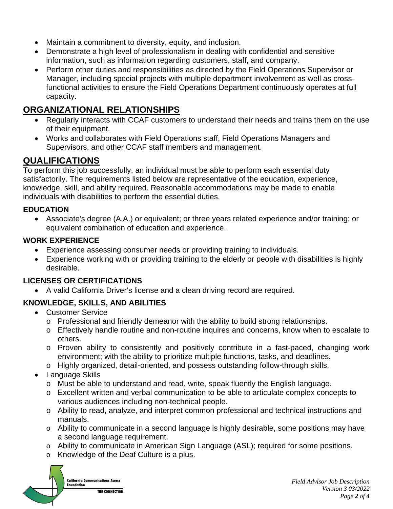- Maintain a commitment to diversity, equity, and inclusion.
- Demonstrate a high level of professionalism in dealing with confidential and sensitive information, such as information regarding customers, staff, and company.
- Perform other duties and responsibilities as directed by the Field Operations Supervisor or Manager, including special projects with multiple department involvement as well as crossfunctional activities to ensure the Field Operations Department continuously operates at full capacity.

# **ORGANIZATIONAL RELATIONSHIPS**

- Regularly interacts with CCAF customers to understand their needs and trains them on the use of their equipment.
- Works and collaborates with Field Operations staff, Field Operations Managers and Supervisors, and other CCAF staff members and management.

# **QUALIFICATIONS**

To perform this job successfully, an individual must be able to perform each essential duty satisfactorily. The requirements listed below are representative of the education, experience, knowledge, skill, and ability required. Reasonable accommodations may be made to enable individuals with disabilities to perform the essential duties.

#### **EDUCATION**

• Associate's degree (A.A.) or equivalent; or three years related experience and/or training; or equivalent combination of education and experience.

#### **WORK EXPERIENCE**

- Experience assessing consumer needs or providing training to individuals.
- Experience working with or providing training to the elderly or people with disabilities is highly desirable.

#### **LICENSES OR CERTIFICATIONS**

• A valid California Driver's license and a clean driving record are required.

### **KNOWLEDGE, SKILLS, AND ABILITIES**

- Customer Service
	- o Professional and friendly demeanor with the ability to build strong relationships.
	- o Effectively handle routine and non-routine inquires and concerns, know when to escalate to others.
	- o Proven ability to consistently and positively contribute in a fast-paced, changing work environment; with the ability to prioritize multiple functions, tasks, and deadlines.
	- o Highly organized, detail-oriented, and possess outstanding follow-through skills.
- Language Skills
	- o Must be able to understand and read, write, speak fluently the English language.
	- o Excellent written and verbal communication to be able to articulate complex concepts to various audiences including non-technical people.
	- o Ability to read, analyze, and interpret common professional and technical instructions and manuals.
	- o Ability to communicate in a second language is highly desirable, some positions may have a second language requirement.
	- o Ability to communicate in American Sign Language (ASL); required for some positions.
	- o Knowledge of the Deaf Culture is a plus.

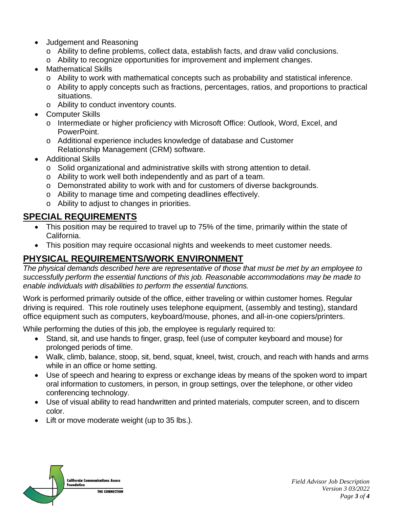- Judgement and Reasoning
	- o Ability to define problems, collect data, establish facts, and draw valid conclusions.
	- o Ability to recognize opportunities for improvement and implement changes.
- Mathematical Skills
	- o Ability to work with mathematical concepts such as probability and statistical inference.
	- o Ability to apply concepts such as fractions, percentages, ratios, and proportions to practical situations.
	- o Ability to conduct inventory counts.
- Computer Skills
	- o Intermediate or higher proficiency with Microsoft Office: Outlook, Word, Excel, and PowerPoint.
	- o Additional experience includes knowledge of database and Customer Relationship Management (CRM) software.
- Additional Skills
	- o Solid organizational and administrative skills with strong attention to detail.
	- o Ability to work well both independently and as part of a team.
	- o Demonstrated ability to work with and for customers of diverse backgrounds.
	- o Ability to manage time and competing deadlines effectively.
	- o Ability to adjust to changes in priorities.

# **SPECIAL REQUIREMENTS**

- This position may be required to travel up to 75% of the time, primarily within the state of California.
- This position may require occasional nights and weekends to meet customer needs.

# **PHYSICAL REQUIREMENTS/WORK ENVIRONMENT**

*The physical demands described here are representative of those that must be met by an employee to successfully perform the essential functions of this job. Reasonable accommodations may be made to enable individuals with disabilities to perform the essential functions.*

Work is performed primarily outside of the office, either traveling or within customer homes. Regular driving is required. This role routinely uses telephone equipment, (assembly and testing), standard office equipment such as computers, keyboard/mouse, phones, and all-in-one copiers/printers.

While performing the duties of this job, the employee is regularly required to:

- Stand, sit, and use hands to finger, grasp, feel (use of computer keyboard and mouse) for prolonged periods of time.
- Walk, climb, balance, stoop, sit, bend, squat, kneel, twist, crouch, and reach with hands and arms while in an office or home setting.
- Use of speech and hearing to express or exchange ideas by means of the spoken word to impart oral information to customers, in person, in group settings, over the telephone, or other video conferencing technology.
- Use of visual ability to read handwritten and printed materials, computer screen, and to discern color.
- Lift or move moderate weight (up to 35 lbs.).